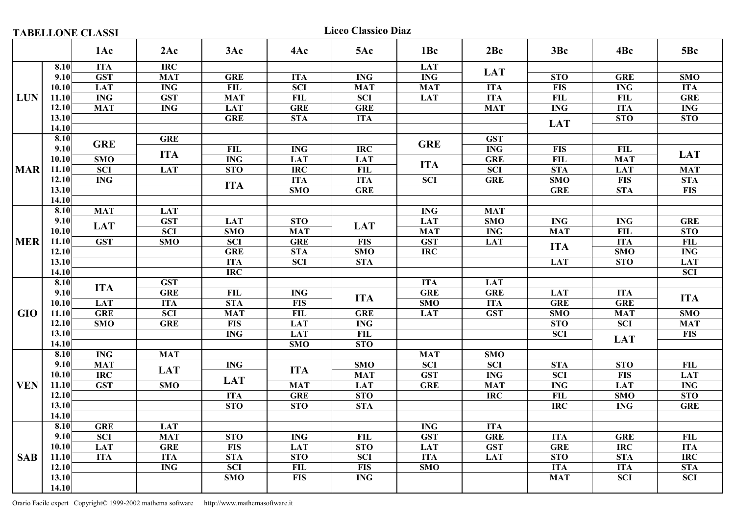Liceo Classico Diaz

|            |       | 1Ac                     | 2Ac                     | 3Ac                   | 4Ac                     | 5Ac                     | 1Bc                       | 2Bc        | 3Bc              | 4Bc                     | 5Bc                     |
|------------|-------|-------------------------|-------------------------|-----------------------|-------------------------|-------------------------|---------------------------|------------|------------------|-------------------------|-------------------------|
|            | 8.10  | <b>ITA</b>              | $\overline{IRC}$        |                       |                         |                         | <b>LAT</b>                |            |                  |                         |                         |
|            | 9.10  | <b>GST</b>              | <b>MAT</b>              | <b>GRE</b>            | <b>ITA</b>              | <b>ING</b>              | <b>ING</b>                | <b>LAT</b> | <b>STO</b>       | <b>GRE</b>              | <b>SMO</b>              |
|            | 10.10 | <b>LAT</b>              | <b>ING</b>              | FL                    | <b>SCI</b>              | <b>MAT</b>              | <b>MAT</b>                | <b>ITA</b> | <b>FIS</b>       | <b>ING</b>              | <b>ITA</b>              |
| <b>LUN</b> | 11.10 | $\overline{\text{ING}}$ | <b>GST</b>              | <b>MAT</b>            | FIL                     | $\overline{SCI}$        | <b>LAT</b>                | <b>ITA</b> | <b>FIL</b>       | FIL                     | <b>GRE</b>              |
|            | 12.10 | <b>MAT</b>              | <b>ING</b>              | <b>LAT</b>            | <b>GRE</b>              | <b>GRE</b>              |                           | <b>MAT</b> | <b>ING</b>       | <b>ITA</b>              | <b>ING</b>              |
|            | 13.10 |                         |                         | <b>GRE</b>            | <b>STA</b>              | <b>ITA</b>              |                           |            |                  | <b>STO</b>              | <b>STO</b>              |
|            | 14.10 |                         |                         |                       |                         |                         |                           |            | <b>LAT</b>       |                         |                         |
|            | 8.10  | <b>GRE</b>              | <b>GRE</b>              |                       |                         |                         | <b>GRE</b>                | <b>GST</b> |                  |                         |                         |
|            | 9.10  |                         | <b>ITA</b>              | <b>FIL</b>            | <b>ING</b>              | <b>IRC</b>              |                           | <b>ING</b> | <b>FIS</b>       | <b>FIL</b>              | <b>LAT</b>              |
|            | 10.10 | $\overline{\text{SMO}}$ | $\overline{\text{ING}}$ |                       | <b>LAT</b>              | <b>LAT</b>              |                           | <b>GRE</b> | $\overline{FL}$  | <b>MAT</b>              |                         |
| <b>MAR</b> | 11.10 | <b>SCI</b>              | <b>LAT</b>              | <b>STO</b>            | <b>IRC</b>              | <b>FIL</b>              | <b>ITA</b>                | <b>SCI</b> | <b>STA</b>       | <b>LAT</b>              | <b>MAT</b>              |
|            | 12.10 | $\mathbf{ING}\,$        |                         | <b>ITA</b>            | <b>ITA</b>              | <b>ITA</b>              | <b>SCI</b>                | <b>GRE</b> | SMO              | <b>FIS</b>              | STA                     |
|            | 13.10 |                         |                         |                       | SMO                     | <b>GRE</b>              |                           |            | <b>GRE</b>       | <b>STA</b>              | $\overline{FIS}$        |
|            | 14.10 |                         |                         |                       |                         |                         |                           |            |                  |                         |                         |
|            | 8.10  | <b>MAT</b>              | <b>LAT</b>              |                       |                         |                         | <b>ING</b>                | <b>MAT</b> |                  |                         |                         |
|            | 9.10  | <b>LAT</b>              | <b>GST</b>              | <b>LAT</b>            | <b>STO</b>              | <b>LAT</b>              | <b>LAT</b>                | <b>SMO</b> | <b>ING</b>       | <b>ING</b>              | <b>GRE</b>              |
|            | 10.10 |                         | <b>SCI</b>              | <b>SMO</b>            | <b>MAT</b>              |                         | <b>MAT</b>                | <b>ING</b> | <b>MAT</b>       | ${\bf FIL}$             | STO                     |
| <b>MER</b> | 11.10 | <b>GST</b>              | SMO                     | $\overline{SCI}$      | <b>GRE</b>              | <b>FIS</b>              | <b>GST</b>                | LAT        | <b>ITA</b>       | <b>ITA</b>              | <b>FIL</b>              |
|            | 12.10 |                         |                         | <b>GRE</b>            | <b>STA</b>              | $\overline{\text{SMO}}$ | <b>IRC</b>                |            |                  | $\overline{\text{SMO}}$ | <b>ING</b>              |
|            | 13.10 |                         |                         | <b>ITA</b>            | $\overline{SCI}$        | <b>STA</b>              |                           |            | <b>LAT</b>       | STO                     | <b>LAT</b>              |
|            | 14.10 |                         |                         | <b>IRC</b>            |                         |                         |                           |            |                  |                         | $\overline{SCI}$        |
|            | 8.10  | <b>ITA</b>              | <b>GST</b>              |                       |                         |                         | <b>ITA</b>                | <b>LAT</b> |                  |                         |                         |
|            | 9.10  |                         | <b>GRE</b>              | FL                    | <b>ING</b>              | <b>ITA</b>              | <b>GRE</b>                | <b>GRE</b> | <b>LAT</b>       | <b>ITA</b>              | <b>ITA</b>              |
|            | 10.10 | <b>LAT</b>              | <b>ITA</b>              | <b>STA</b>            | <b>FIS</b>              |                         | <b>SMO</b>                | <b>ITA</b> | <b>GRE</b>       | <b>GRE</b>              |                         |
| <b>GIO</b> | 11.10 | <b>GRE</b>              | <b>SCI</b>              | <b>MAT</b>            | <b>FIL</b>              | <b>GRE</b>              | LAT                       | <b>GST</b> | SMO              | <b>MAT</b>              | <b>SMO</b>              |
|            | 12.10 | $\overline{\text{SMO}}$ | <b>GRE</b>              | $\overline{FIS}$      | <b>LAT</b>              | <b>ING</b>              |                           |            | STO              | $\overline{SCI}$        | <b>MAT</b>              |
|            | 13.10 |                         |                         | <b>ING</b>            | <b>LAT</b>              | <b>FIL</b>              |                           |            | <b>SCI</b>       | <b>LAT</b>              | <b>FIS</b>              |
|            | 14.10 |                         |                         |                       | SMO                     | STO                     |                           |            |                  |                         |                         |
|            | 8.10  | <b>ING</b>              | <b>MAT</b>              |                       |                         |                         | <b>MAT</b>                | <b>SMO</b> |                  |                         |                         |
|            | 9.10  | <b>MAT</b>              | <b>LAT</b>              | $\mathbf{ING}\xspace$ | <b>ITA</b>              | <b>SMO</b>              | <b>SCI</b>                | <b>SCI</b> | <b>STA</b>       | <b>STO</b>              | <b>FIL</b>              |
|            | 10.10 | $\overline{IRC}$        |                         | <b>LAT</b>            |                         | <b>MAT</b>              | $\overline{\textbf{GST}}$ | <b>ING</b> | $\overline{SCI}$ | <b>FIS</b>              | <b>LAT</b>              |
| <b>VEN</b> | 11.10 | <b>GST</b>              | SMO                     |                       | <b>MAT</b>              | <b>LAT</b>              | <b>GRE</b>                | <b>MAT</b> | <b>ING</b>       | <b>LAT</b>              | $\overline{\text{ING}}$ |
|            | 12.10 |                         |                         | <b>ITA</b>            | <b>GRE</b>              | <b>STO</b>              |                           | <b>IRC</b> | FIL              | SMO                     | STO                     |
|            | 13.10 |                         |                         | STO                   | STO                     | <b>STA</b>              |                           |            | <b>IRC</b>       | <b>ING</b>              | <b>GRE</b>              |
|            | 14.10 |                         |                         |                       |                         |                         |                           |            |                  |                         |                         |
|            | 8.10  | <b>GRE</b>              | <b>LAT</b>              |                       |                         |                         | <b>ING</b>                | <b>ITA</b> |                  |                         |                         |
|            | 9.10  | <b>SCI</b>              | <b>MAT</b>              | <b>STO</b>            | <b>ING</b>              | <b>FIL</b>              | <b>GST</b>                | <b>GRE</b> | <b>ITA</b>       | <b>GRE</b>              | <b>FIL</b>              |
|            | 10.10 | <b>LAT</b>              | <b>GRE</b>              | <b>FIS</b>            | <b>LAT</b>              | <b>STO</b>              | <b>LAT</b>                | <b>GST</b> | <b>GRE</b>       | <b>IRC</b>              | <b>ITA</b>              |
| <b>SAB</b> | 11.10 | <b>ITA</b>              | <b>ITA</b>              | STA                   | $\overline{\text{STO}}$ | $\overline{SCI}$        | <b>ITA</b>                | <b>LAT</b> | STO              | STA                     | $\overline{\text{IRC}}$ |
|            | 12.10 |                         | <b>ING</b>              | <b>SCI</b>            | <b>FIL</b>              | <b>FIS</b>              | <b>SMO</b>                |            | <b>ITA</b>       | <b>ITA</b>              | <b>STA</b>              |
|            | 13.10 |                         |                         | SMO                   | <b>FIS</b>              | <b>ING</b>              |                           |            | <b>MAT</b>       | <b>SCI</b>              | <b>SCI</b>              |
|            | 14.10 |                         |                         |                       |                         |                         |                           |            |                  |                         |                         |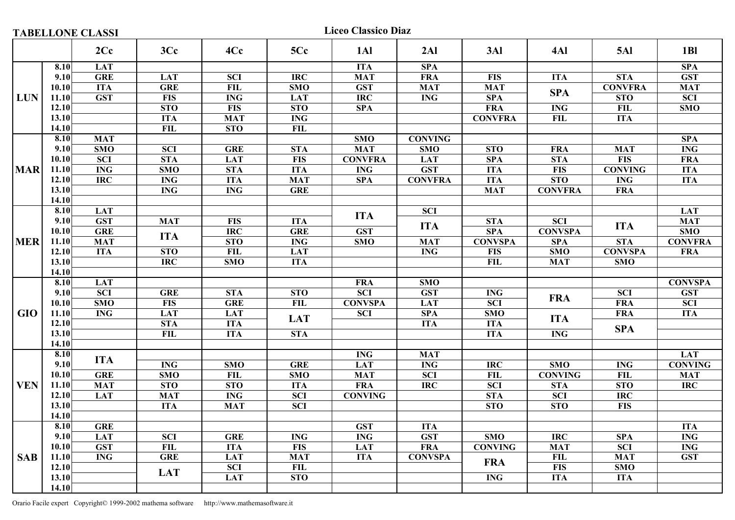|  | <b>TABELLONE CLASSI</b> |
|--|-------------------------|
|  |                         |

Liceo Classico Diaz

|            |       | 2Cc                     | 3Cc             | 4Cc                     | 5Cc        | 1Al                     | 2AI                     | 3AI              | 4Al            | <b>5Al</b>              | 1B1                     |
|------------|-------|-------------------------|-----------------|-------------------------|------------|-------------------------|-------------------------|------------------|----------------|-------------------------|-------------------------|
|            | 8.10  | <b>LAT</b>              |                 |                         |            | <b>ITA</b>              | <b>SPA</b>              |                  |                |                         | SPA                     |
|            | 9.10  | <b>GRE</b>              | <b>LAT</b>      | <b>SCI</b>              | <b>IRC</b> | <b>MAT</b>              | <b>FRA</b>              | <b>FIS</b>       | <b>ITA</b>     | $\overline{\text{STA}}$ | $\overline{\text{GST}}$ |
|            | 10.10 | <b>ITA</b>              | <b>GRE</b>      | <b>FIL</b>              | SMO        | <b>GST</b>              | <b>MAT</b>              | <b>MAT</b>       |                | <b>CONVFRA</b>          | <b>MAT</b>              |
| <b>LUN</b> | 11.10 | <b>GST</b>              | <b>FIS</b>      | <b>ING</b>              | <b>LAT</b> | $\overline{\text{IRC}}$ | <b>ING</b>              | <b>SPA</b>       | <b>SPA</b>     | STO                     | $\overline{SCI}$        |
|            | 12.10 |                         | <b>STO</b>      | <b>FIS</b>              | <b>STO</b> | <b>SPA</b>              |                         | <b>FRA</b>       | <b>ING</b>     | <b>FIL</b>              | <b>SMO</b>              |
|            | 13.10 |                         | <b>ITA</b>      | <b>MAT</b>              | <b>ING</b> |                         |                         | <b>CONVFRA</b>   | <b>FIL</b>     | <b>ITA</b>              |                         |
|            | 14.10 |                         | FIL             | <b>STO</b>              | FIL        |                         |                         |                  |                |                         |                         |
|            | 8.10  | <b>MAT</b>              |                 |                         |            | <b>SMO</b>              | <b>CONVING</b>          |                  |                |                         | <b>SPA</b>              |
|            | 9.10  | SMO                     | <b>SCI</b>      | <b>GRE</b>              | <b>STA</b> | <b>MAT</b>              | SMO                     | <b>STO</b>       | <b>FRA</b>     | <b>MAT</b>              | $\overline{\text{ING}}$ |
|            | 10.10 | $\overline{SCI}$        | STA             | <b>LAT</b>              | <b>FIS</b> | <b>CONVFRA</b>          | <b>LAT</b>              | <b>SPA</b>       | STA            | $\overline{FIS}$        | <b>FRA</b>              |
| <b>MAR</b> | 11.10 | <b>ING</b>              | SMO             | <b>STA</b>              | <b>ITA</b> | <b>ING</b>              | <b>GST</b>              | <b>ITA</b>       | <b>FIS</b>     | <b>CONVING</b>          | <b>ITA</b>              |
|            | 12.10 | <b>IRC</b>              | <b>ING</b>      | <b>ITA</b>              | <b>MAT</b> | <b>SPA</b>              | <b>CONVFRA</b>          | <b>ITA</b>       | STO            | <b>ING</b>              | <b>ITA</b>              |
|            | 13.10 |                         | <b>ING</b>      | $\overline{\text{ING}}$ | <b>GRE</b> |                         |                         | <b>MAT</b>       | <b>CONVFRA</b> | <b>FRA</b>              |                         |
|            | 14.10 |                         |                 |                         |            |                         |                         |                  |                |                         |                         |
|            | 8.10  | <b>LAT</b>              |                 |                         |            |                         | $\overline{SCI}$        |                  |                |                         | <b>LAT</b>              |
| <b>MER</b> | 9.10  | <b>GST</b>              | <b>MAT</b>      | <b>FIS</b>              | <b>ITA</b> | <b>ITA</b>              |                         | <b>STA</b>       | <b>SCI</b>     |                         | <b>MAT</b>              |
|            | 10.10 | <b>GRE</b>              |                 | <b>IRC</b>              | <b>GRE</b> | <b>GST</b>              | <b>ITA</b>              | <b>SPA</b>       | <b>CONVSPA</b> | <b>ITA</b>              | $\overline{\text{SMO}}$ |
|            | 11.10 | <b>MAT</b>              | <b>ITA</b>      | STO                     | <b>ING</b> | SMO                     | <b>MAT</b>              | <b>CONVSPA</b>   | <b>SPA</b>     | <b>STA</b>              | <b>CONVFRA</b>          |
|            | 12.10 | <b>ITA</b>              | STO             | FL                      | <b>LAT</b> |                         | $\overline{\text{ING}}$ | <b>FIS</b>       | SMO            | <b>CONVSPA</b>          | <b>FRA</b>              |
|            | 13.10 |                         | <b>IRC</b>      | <b>SMO</b>              | <b>ITA</b> |                         |                         | FIL              | <b>MAT</b>     | <b>SMO</b>              |                         |
|            | 14.10 |                         |                 |                         |            |                         |                         |                  |                |                         |                         |
|            | 8.10  | <b>LAT</b>              |                 |                         |            | <b>FRA</b>              | <b>SMO</b>              |                  |                |                         | <b>CONVSPA</b>          |
|            | 9.10  | $\overline{SCI}$        | <b>GRE</b>      | STA                     | <b>STO</b> | $\overline{SCI}$        | <b>GST</b>              | <b>ING</b>       |                | <b>SCI</b>              | <b>GST</b>              |
|            | 10.10 | $\overline{\text{SMO}}$ | <b>FIS</b>      | <b>GRE</b>              | <b>FIL</b> | <b>CONVSPA</b>          | LAT                     | <b>SCI</b>       | <b>FRA</b>     | <b>FRA</b>              | <b>SCI</b>              |
| <b>GIO</b> | 11.10 | <b>ING</b>              | <b>LAT</b>      | <b>LAT</b>              |            | <b>SCI</b>              | <b>SPA</b>              | <b>SMO</b>       |                | <b>FRA</b>              | <b>ITA</b>              |
|            | 12.10 |                         | <b>STA</b>      | <b>ITA</b>              | <b>LAT</b> |                         | <b>ITA</b>              | <b>ITA</b>       | <b>ITA</b>     |                         |                         |
|            | 13.10 |                         | <b>FIL</b>      | <b>ITA</b>              | <b>STA</b> |                         |                         | <b>ITA</b>       | <b>ING</b>     | <b>SPA</b>              |                         |
|            | 14.10 |                         |                 |                         |            |                         |                         |                  |                |                         |                         |
|            | 8.10  | <b>ITA</b>              |                 |                         |            | <b>ING</b>              | <b>MAT</b>              |                  |                |                         | <b>LAT</b>              |
|            | 9.10  |                         | <b>ING</b>      | SMO                     | <b>GRE</b> | <b>LAT</b>              | <b>ING</b>              | <b>IRC</b>       | SMO            | <b>ING</b>              | <b>CONVING</b>          |
|            | 10.10 | <b>GRE</b>              | SMO             | <b>FIL</b>              | SMO        | <b>MAT</b>              | <b>SCI</b>              | <b>FIL</b>       | <b>CONVING</b> | <b>FIL</b>              | <b>MAT</b>              |
| <b>VEN</b> | 11.10 | <b>MAT</b>              | <b>STO</b>      | <b>STO</b>              | <b>ITA</b> | <b>FRA</b>              | $\overline{IRC}$        | $\overline{SCI}$ | <b>STA</b>     | <b>STO</b>              | $\overline{IRC}$        |
|            | 12.10 | <b>LAT</b>              | <b>MAT</b>      | <b>ING</b>              | <b>SCI</b> | <b>CONVING</b>          |                         | <b>STA</b>       | <b>SCI</b>     | <b>IRC</b>              |                         |
|            | 13.10 |                         | <b>ITA</b>      | <b>MAT</b>              | <b>SCI</b> |                         |                         | <b>STO</b>       | <b>STO</b>     | <b>FIS</b>              |                         |
|            | 14.10 |                         |                 |                         |            |                         |                         |                  |                |                         |                         |
|            | 8.10  | <b>GRE</b>              |                 |                         |            | <b>GST</b>              | <b>ITA</b>              |                  |                |                         | <b>ITA</b>              |
|            | 9.10  | <b>LAT</b>              | <b>SCI</b>      | <b>GRE</b>              | <b>ING</b> | <b>ING</b>              | <b>GST</b>              | <b>SMO</b>       | <b>IRC</b>     | <b>SPA</b>              | <b>ING</b>              |
|            | 10.10 | <b>GST</b>              | $\overline{FL}$ | <b>ITA</b>              | <b>FIS</b> | <b>LAT</b>              | <b>FRA</b>              | <b>CONVING</b>   | <b>MAT</b>     | $\overline{SCI}$        | <b>ING</b>              |
| <b>SAB</b> | 11.10 | $\overline{\text{ING}}$ | <b>GRE</b>      | <b>LAT</b>              | <b>MAT</b> | <b>ITA</b>              | <b>CONVSPA</b>          | <b>FRA</b>       | <b>FIL</b>     | <b>MAT</b>              | <b>GST</b>              |
|            | 12.10 |                         | <b>LAT</b>      | <b>SCI</b>              | <b>FIL</b> |                         |                         |                  | <b>FIS</b>     | SMO                     |                         |
|            | 13.10 |                         |                 | <b>LAT</b>              | <b>STO</b> |                         |                         | <b>ING</b>       | <b>ITA</b>     | <b>ITA</b>              |                         |
|            | 14.10 |                         |                 |                         |            |                         |                         |                  |                |                         |                         |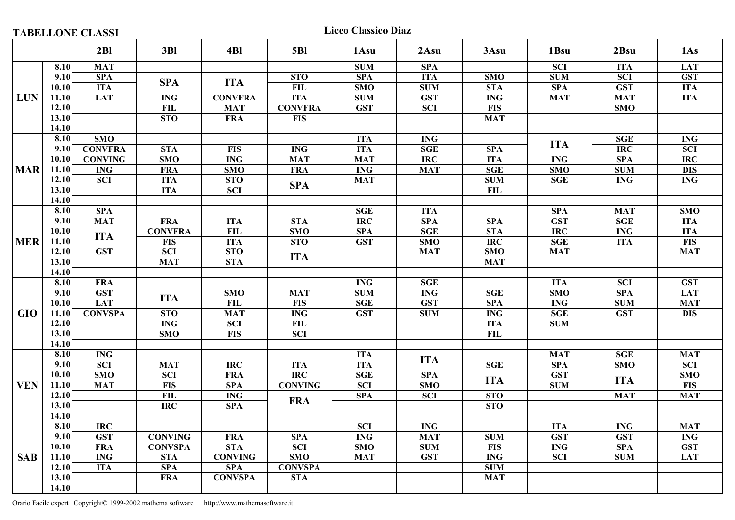**TABELLONE CLASSI** Liceo Classico Diaz

|            |       | 2B1                       | 3B1                     | 4Bl              | <b>5BI</b>       | 1 Asu            | 2Asu             | 3Asu                    | 1Bsu                      | 2Bsu                    | 1As                     |
|------------|-------|---------------------------|-------------------------|------------------|------------------|------------------|------------------|-------------------------|---------------------------|-------------------------|-------------------------|
|            | 8.10  | <b>MAT</b>                |                         |                  |                  | SUM              | <b>SPA</b>       |                         | $\overline{SCI}$          | <b>ITA</b>              | <b>LAT</b>              |
|            | 9.10  | SPA                       |                         |                  | <b>STO</b>       | <b>SPA</b>       | <b>ITA</b>       | SMO                     | SUM                       | <b>SCI</b>              | <b>GST</b>              |
|            | 10.10 | <b>ITA</b>                | <b>SPA</b>              | <b>ITA</b>       | FIL              | SMO              | <b>SUM</b>       | <b>STA</b>              | <b>SPA</b>                | <b>GST</b>              | <b>ITA</b>              |
| LUN        | 11.10 | <b>LAT</b>                | <b>ING</b>              | <b>CONVFRA</b>   | <b>ITA</b>       | SUM              | <b>GST</b>       | $\overline{\text{ING}}$ | <b>MAT</b>                | <b>MAT</b>              | <b>ITA</b>              |
|            | 12.10 |                           | FIL                     | <b>MAT</b>       | <b>CONVFRA</b>   | <b>GST</b>       | <b>SCI</b>       | <b>FIS</b>              |                           | <b>SMO</b>              |                         |
|            | 13.10 |                           | <b>STO</b>              | <b>FRA</b>       | <b>FIS</b>       |                  |                  | <b>MAT</b>              |                           |                         |                         |
|            | 14.10 |                           |                         |                  |                  |                  |                  |                         |                           |                         |                         |
|            | 8.10  | $\overline{\text{SMO}}$   |                         |                  |                  | <b>ITA</b>       | <b>ING</b>       |                         |                           | <b>SGE</b>              | <b>ING</b>              |
|            | 9.10  | <b>CONVFRA</b>            | <b>STA</b>              | <b>FIS</b>       | <b>ING</b>       | <b>ITA</b>       | <b>SGE</b>       | <b>SPA</b>              | <b>ITA</b>                | $\overline{\text{IRC}}$ | $\overline{SCI}$        |
|            | 10.10 | <b>CONVING</b>            | <b>SMO</b>              | <b>ING</b>       | <b>MAT</b>       | <b>MAT</b>       | $\overline{IRC}$ | <b>ITA</b>              | <b>ING</b>                | <b>SPA</b>              | $\overline{IRC}$        |
| <b>MAR</b> | 11.10 | <b>ING</b>                | <b>FRA</b>              | <b>SMO</b>       | <b>FRA</b>       | <b>ING</b>       | <b>MAT</b>       | <b>SGE</b>              | SMO                       | <b>SUM</b>              | <b>DIS</b>              |
|            | 12.10 | <b>SCI</b>                | <b>ITA</b>              | $\overline{STO}$ |                  | <b>MAT</b>       |                  | <b>SUM</b>              | <b>SGE</b>                | <b>ING</b>              | <b>ING</b>              |
|            | 13.10 |                           | <b>ITA</b>              | <b>SCI</b>       | <b>SPA</b>       |                  |                  | <b>FIL</b>              |                           |                         |                         |
|            | 14.10 |                           |                         |                  |                  |                  |                  |                         |                           |                         |                         |
|            | 8.10  | <b>SPA</b>                |                         |                  |                  | <b>SGE</b>       | <b>ITA</b>       |                         | <b>SPA</b>                | <b>MAT</b>              | $\overline{\text{SMO}}$ |
|            | 9.10  | <b>MAT</b>                | <b>FRA</b>              | <b>ITA</b>       | <b>STA</b>       | $\overline{IRC}$ | <b>SPA</b>       | <b>SPA</b>              | $\overline{\textbf{GST}}$ | SGE                     | <b>ITA</b>              |
|            | 10.10 |                           | <b>CONVFRA</b>          | <b>FIL</b>       | <b>SMO</b>       | <b>SPA</b>       | <b>SGE</b>       | <b>STA</b>              | <b>IRC</b>                | <b>ING</b>              | <b>ITA</b>              |
| <b>MER</b> | 11.10 | <b>ITA</b>                | <b>FIS</b>              | <b>ITA</b>       | <b>STO</b>       | <b>GST</b>       | SMO              | <b>IRC</b>              | <b>SGE</b>                | <b>ITA</b>              | <b>FIS</b>              |
|            | 12.10 | <b>GST</b>                | $\overline{SCI}$        | <b>STO</b>       |                  |                  | <b>MAT</b>       | SMO                     | <b>MAT</b>                |                         | <b>MAT</b>              |
|            | 13.10 |                           | <b>MAT</b>              | <b>STA</b>       | <b>ITA</b>       |                  |                  | <b>MAT</b>              |                           |                         |                         |
|            | 14.10 |                           |                         |                  |                  |                  |                  |                         |                           |                         |                         |
|            | 8.10  | <b>FRA</b>                |                         |                  |                  | <b>ING</b>       | <b>SGE</b>       |                         | <b>ITA</b>                | <b>SCI</b>              | <b>GST</b>              |
|            | 9.10  | <b>GST</b>                |                         | SMO              | <b>MAT</b>       | <b>SUM</b>       | <b>ING</b>       | <b>SGE</b>              | SMO                       | <b>SPA</b>              | <b>LAT</b>              |
|            | 10.10 | <b>LAT</b>                | <b>ITA</b>              | <b>FIL</b>       | <b>FIS</b>       | <b>SGE</b>       | <b>GST</b>       | <b>SPA</b>              | <b>ING</b>                | <b>SUM</b>              | <b>MAT</b>              |
| <b>GIO</b> | 11.10 | <b>CONVSPA</b>            | <b>STO</b>              | <b>MAT</b>       | <b>ING</b>       | <b>GST</b>       | ${\bf SUM}$      | <b>ING</b>              | <b>SGE</b>                | <b>GST</b>              | <b>DIS</b>              |
|            | 12.10 |                           | $\overline{\text{ING}}$ | $\overline{SCI}$ | <b>FIL</b>       |                  |                  | <b>ITA</b>              | SUM                       |                         |                         |
|            | 13.10 |                           | <b>SMO</b>              | <b>FIS</b>       | <b>SCI</b>       |                  |                  | FIL                     |                           |                         |                         |
|            | 14.10 |                           |                         |                  |                  |                  |                  |                         |                           |                         |                         |
|            | 8.10  | <b>ING</b>                |                         |                  |                  | <b>ITA</b>       |                  |                         | <b>MAT</b>                | <b>SGE</b>              | <b>MAT</b>              |
|            | 9.10  | <b>SCI</b>                | <b>MAT</b>              | <b>IRC</b>       | <b>ITA</b>       | <b>ITA</b>       | <b>ITA</b>       | <b>SGE</b>              | <b>SPA</b>                | <b>SMO</b>              | <b>SCI</b>              |
|            | 10.10 | $\overline{\textbf{SMO}}$ | <b>SCI</b>              | <b>FRA</b>       | $\overline{IRC}$ | SGE              | <b>SPA</b>       |                         | <b>GST</b>                |                         | SMO                     |
| <b>VEN</b> | 11.10 | <b>MAT</b>                | <b>FIS</b>              | <b>SPA</b>       | <b>CONVING</b>   | $\overline{SCI}$ | SMO              | <b>ITA</b>              | <b>SUM</b>                | <b>ITA</b>              | <b>FIS</b>              |
|            | 12.10 |                           | FIL                     | <b>ING</b>       |                  | <b>SPA</b>       | <b>SCI</b>       | <b>STO</b>              |                           | <b>MAT</b>              | <b>MAT</b>              |
|            | 13.10 |                           | <b>IRC</b>              | <b>SPA</b>       | <b>FRA</b>       |                  |                  | <b>STO</b>              |                           |                         |                         |
|            | 14.10 |                           |                         |                  |                  |                  |                  |                         |                           |                         |                         |
|            | 8.10  | <b>IRC</b>                |                         |                  |                  | <b>SCI</b>       | <b>ING</b>       |                         | <b>ITA</b>                | <b>ING</b>              | <b>MAT</b>              |
|            | 9.10  | <b>GST</b>                | <b>CONVING</b>          | <b>FRA</b>       | <b>SPA</b>       | <b>ING</b>       | <b>MAT</b>       | <b>SUM</b>              | <b>GST</b>                | <b>GST</b>              | <b>ING</b>              |
|            | 10.10 | <b>FRA</b>                | <b>CONVSPA</b>          | <b>STA</b>       | <b>SCI</b>       | SMO              | <b>SUM</b>       | <b>FIS</b>              | <b>ING</b>                | <b>SPA</b>              | <b>GST</b>              |
| <b>SAB</b> | 11.10 | <b>ING</b>                | <b>STA</b>              | <b>CONVING</b>   | SMO              | <b>MAT</b>       | <b>GST</b>       | <b>ING</b>              | $\overline{SCI}$          | <b>SUM</b>              | <b>LAT</b>              |
|            | 12.10 | <b>ITA</b>                | <b>SPA</b>              | <b>SPA</b>       | <b>CONVSPA</b>   |                  |                  | <b>SUM</b>              |                           |                         |                         |
|            | 13.10 |                           | <b>FRA</b>              | <b>CONVSPA</b>   | <b>STA</b>       |                  |                  | <b>MAT</b>              |                           |                         |                         |
|            | 14.10 |                           |                         |                  |                  |                  |                  |                         |                           |                         |                         |
|            |       |                           |                         |                  |                  |                  |                  |                         |                           |                         |                         |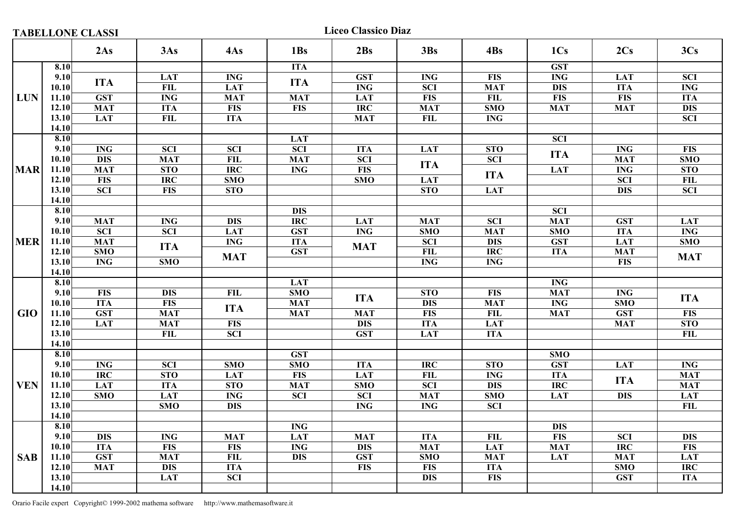**TABELLONE CLASSI** Liceo Classico Diaz

|            |       | 2As                       | 3As        | 4As             | 1Bs        | 2Bs                       | 3Bs                     | 4Bs             | 1C <sub>s</sub>         | 2Cs        | 3Cs                     |
|------------|-------|---------------------------|------------|-----------------|------------|---------------------------|-------------------------|-----------------|-------------------------|------------|-------------------------|
|            | 8.10  |                           |            |                 | <b>ITA</b> |                           |                         |                 | <b>GST</b>              |            |                         |
|            | 9.10  |                           | <b>LAT</b> | <b>ING</b>      |            | <b>GST</b>                | <b>ING</b>              | <b>FIS</b>      | <b>ING</b>              | <b>LAT</b> | <b>SCI</b>              |
|            | 10.10 | <b>ITA</b>                | FIL        | <b>LAT</b>      | <b>ITA</b> | <b>ING</b>                | <b>SCI</b>              | <b>MAT</b>      | <b>DIS</b>              | <b>ITA</b> | <b>ING</b>              |
| LUN        | 11.10 | <b>GST</b>                | <b>ING</b> | <b>MAT</b>      | <b>MAT</b> | <b>LAT</b>                | <b>FIS</b>              | <b>FIL</b>      | <b>FIS</b>              | <b>FIS</b> | <b>ITA</b>              |
|            | 12.10 | <b>MAT</b>                | <b>ITA</b> | <b>FIS</b>      | <b>FIS</b> | <b>IRC</b>                | <b>MAT</b>              | SMO             | <b>MAT</b>              | <b>MAT</b> | $\overline{DIS}$        |
|            | 13.10 | <b>LAT</b>                | FIL        | <b>ITA</b>      |            | <b>MAT</b>                | <b>FIL</b>              | <b>ING</b>      |                         |            | <b>SCI</b>              |
|            | 14.10 |                           |            |                 |            |                           |                         |                 |                         |            |                         |
|            | 8.10  |                           |            |                 | <b>LAT</b> |                           |                         |                 | $\overline{SCI}$        |            |                         |
|            | 9.10  | <b>ING</b>                | <b>SCI</b> | <b>SCI</b>      | <b>SCI</b> | <b>ITA</b>                | <b>LAT</b>              | <b>STO</b>      | <b>ITA</b>              | <b>ING</b> | <b>FIS</b>              |
|            | 10.10 | <b>DIS</b>                | MAT        | $\overline{FL}$ | <b>MAT</b> | <b>SCI</b>                | <b>ITA</b>              | <b>SCI</b>      |                         | <b>MAT</b> | $\overline{\text{SMO}}$ |
| <b>MAR</b> | 11.10 | <b>MAT</b>                | <b>STO</b> | <b>IRC</b>      | <b>ING</b> | <b>FIS</b>                |                         | <b>ITA</b>      | <b>LAT</b>              | <b>ING</b> | <b>STO</b>              |
|            | 12.10 | <b>FIS</b>                | <b>IRC</b> | SMO             |            | <b>SMO</b>                | <b>LAT</b>              |                 |                         | <b>SCI</b> | FL                      |
|            | 13.10 | $\overline{SCI}$          | <b>FIS</b> | <b>STO</b>      |            |                           | <b>STO</b>              | <b>LAT</b>      |                         | <b>DIS</b> | $\overline{SCI}$        |
|            | 14.10 |                           |            |                 |            |                           |                         |                 |                         |            |                         |
| <b>MER</b> | 8.10  |                           |            |                 | <b>DIS</b> |                           |                         |                 | $\overline{SCI}$        |            |                         |
|            | 9.10  | <b>MAT</b>                | <b>ING</b> | <b>DIS</b>      | <b>IRC</b> | <b>LAT</b>                | <b>MAT</b>              | <b>SCI</b>      | <b>MAT</b>              | <b>GST</b> | <b>LAT</b>              |
|            | 10.10 | $\overline{SCI}$          | <b>SCI</b> | <b>LAT</b>      | <b>GST</b> | <b>ING</b>                | $\overline{\text{SMO}}$ | <b>MAT</b>      | $\overline{\text{SMO}}$ | <b>ITA</b> | $\overline{\text{ING}}$ |
|            | 11.10 | <b>MAT</b>                | <b>ITA</b> | <b>ING</b>      | <b>ITA</b> | <b>MAT</b>                | <b>SCI</b>              | <b>DIS</b>      | <b>GST</b>              | <b>LAT</b> | SMO                     |
|            | 12.10 | SMO                       |            | <b>MAT</b>      | <b>GST</b> |                           | <b>FIL</b>              | $\overline{RC}$ | <b>ITA</b>              | <b>MAT</b> | <b>MAT</b>              |
|            | 13.10 | <b>ING</b>                | <b>SMO</b> |                 |            |                           | $\overline{\text{ING}}$ | <b>ING</b>      |                         | <b>FIS</b> |                         |
|            | 14.10 |                           |            |                 |            |                           |                         |                 |                         |            |                         |
|            | 8.10  |                           |            |                 | <b>LAT</b> |                           |                         |                 | $\mathbf{ING}\,$        |            |                         |
|            | 9.10  | <b>FIS</b>                | <b>DIS</b> | <b>FIL</b>      | <b>SMO</b> | <b>ITA</b>                | <b>STO</b>              | <b>FIS</b>      | <b>MAT</b>              | <b>ING</b> | <b>ITA</b>              |
|            | 10.10 | <b>ITA</b>                | <b>FIS</b> | <b>ITA</b>      | <b>MAT</b> |                           | <b>DIS</b>              | <b>MAT</b>      | <b>ING</b>              | SMO        |                         |
| <b>GIO</b> | 11.10 | <b>GST</b>                | <b>MAT</b> |                 | <b>MAT</b> | <b>MAT</b>                | <b>FIS</b>              | <b>FIL</b>      | <b>MAT</b>              | <b>GST</b> | <b>FIS</b>              |
|            | 12.10 | <b>LAT</b>                | <b>MAT</b> | <b>FIS</b>      |            | $\overline{DIS}$          | <b>ITA</b>              | <b>LAT</b>      |                         | <b>MAT</b> | STO                     |
|            | 13.10 |                           | FIL        | <b>SCI</b>      |            | <b>GST</b>                | <b>LAT</b>              | <b>ITA</b>      |                         |            | <b>FIL</b>              |
|            | 14.10 |                           |            |                 |            |                           |                         |                 |                         |            |                         |
|            | 8.10  |                           |            |                 | <b>GST</b> |                           |                         |                 | $\overline{\text{SMO}}$ |            |                         |
|            | 9.10  | <b>ING</b>                | <b>SCI</b> | SMO             | <b>SMO</b> | <b>ITA</b>                | <b>IRC</b>              | <b>STO</b>      | <b>GST</b>              | <b>LAT</b> | <b>ING</b>              |
|            | 10.10 | <b>IRC</b>                | <b>STO</b> | <b>LAT</b>      | <b>FIS</b> | <b>LAT</b>                | <b>FIL</b>              | <b>ING</b>      | <b>ITA</b>              | <b>ITA</b> | <b>MAT</b>              |
| <b>VEN</b> | 11.10 | <b>LAT</b>                | <b>ITA</b> | <b>STO</b>      | <b>MAT</b> | SMO                       | $\overline{SCI}$        | <b>DIS</b>      | $\overline{IRC}$        |            | <b>MAT</b>              |
|            | 12.10 | <b>SMO</b>                | <b>LAT</b> | <b>ING</b>      | <b>SCI</b> | <b>SCI</b>                | <b>MAT</b>              | SMO             | <b>LAT</b>              | <b>DIS</b> | <b>LAT</b>              |
|            | 13.10 |                           | SMO        | <b>DIS</b>      |            | $\overline{\text{ING}}$   | <b>ING</b>              | <b>SCI</b>      |                         |            | <b>FIL</b>              |
|            | 14.10 |                           |            |                 |            |                           |                         |                 |                         |            |                         |
|            | 8.10  |                           |            |                 | <b>ING</b> |                           |                         |                 | <b>DIS</b>              |            |                         |
|            | 9.10  | <b>DIS</b>                | <b>ING</b> | <b>MAT</b>      | <b>LAT</b> | <b>MAT</b>                | <b>ITA</b>              | <b>FIL</b>      | <b>FIS</b>              | <b>SCI</b> | <b>DIS</b>              |
|            | 10.10 | <b>ITA</b>                | <b>FIS</b> | <b>FIS</b>      | <b>ING</b> | <b>DIS</b>                | <b>MAT</b>              | <b>LAT</b>      | <b>MAT</b>              | <b>IRC</b> | <b>FIS</b>              |
| <b>SAB</b> | 11.10 | $\overline{\textbf{GST}}$ | <b>MAT</b> | FIL             | <b>DIS</b> | $\overline{\textbf{GST}}$ | SMO                     | <b>MAT</b>      | <b>LAT</b>              | <b>MAT</b> | <b>LAT</b>              |
|            | 12.10 | <b>MAT</b>                | <b>DIS</b> | <b>ITA</b>      |            | <b>FIS</b>                | <b>FIS</b>              | <b>ITA</b>      |                         | SMO        | <b>IRC</b>              |
|            | 13.10 |                           | <b>LAT</b> | <b>SCI</b>      |            |                           | <b>DIS</b>              | <b>FIS</b>      |                         | <b>GST</b> | <b>ITA</b>              |
|            | 14.10 |                           |            |                 |            |                           |                         |                 |                         |            |                         |